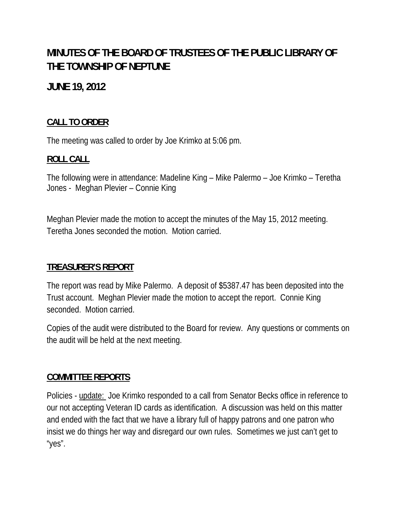# **MINUTES OF THE BOARD OF TRUSTEES OF THE PUBLIC LIBRARY OF THE TOWNSHIP OF NEPTUNE**

## **JUNE 19, 2012**

## **CALL TO ORDER**

The meeting was called to order by Joe Krimko at 5:06 pm.

### **ROLL CALL**

The following were in attendance: Madeline King – Mike Palermo – Joe Krimko – Teretha Jones - Meghan Plevier – Connie King

Meghan Plevier made the motion to accept the minutes of the May 15, 2012 meeting. Teretha Jones seconded the motion. Motion carried.

### **TREASURER'S REPORT**

The report was read by Mike Palermo. A deposit of \$5387.47 has been deposited into the Trust account. Meghan Plevier made the motion to accept the report. Connie King seconded. Motion carried.

Copies of the audit were distributed to the Board for review. Any questions or comments on the audit will be held at the next meeting.

### **COMMITTEE REPORTS**

Policies - update: Joe Krimko responded to a call from Senator Becks office in reference to our not accepting Veteran ID cards as identification. A discussion was held on this matter and ended with the fact that we have a library full of happy patrons and one patron who insist we do things her way and disregard our own rules. Sometimes we just can't get to "yes".